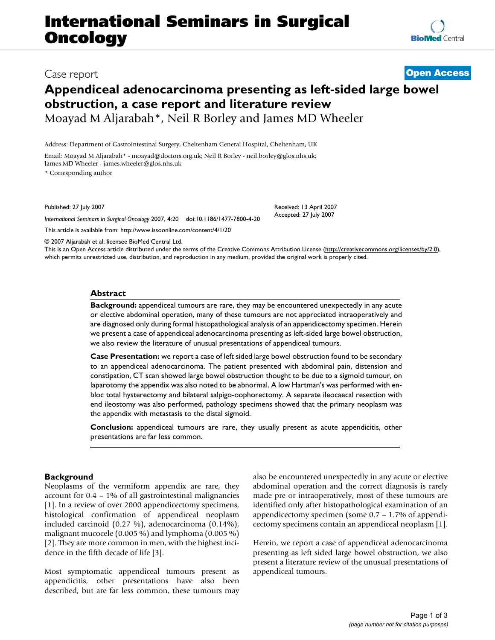# **International Seminars in Surgical Oncology**

### Case report **[Open Access](http://www.biomedcentral.com/info/about/charter/)**

## **Appendiceal adenocarcinoma presenting as left-sided large bowel obstruction, a case report and literature review** Moayad M Aljarabah\*, Neil R Borley and James MD Wheeler

Address: Department of Gastrointestinal Surgery, Cheltenham General Hospital, Cheltenham, UK

Email: Moayad M Aljarabah\* - moayad@doctors.org.uk; Neil R Borley - neil.borley@glos.nhs.uk; James MD Wheeler - james.wheeler@glos.nhs.uk

\* Corresponding author

Published: 27 July 2007

*International Seminars in Surgical Oncology* 2007, **4**:20 doi:10.1186/1477-7800-4-20

[This article is available from: http://www.issoonline.com/content/4/1/20](http://www.issoonline.com/content/4/1/20)

© 2007 Aljarabah et al; licensee BioMed Central Ltd.

This is an Open Access article distributed under the terms of the Creative Commons Attribution License [\(http://creativecommons.org/licenses/by/2.0\)](http://creativecommons.org/licenses/by/2.0), which permits unrestricted use, distribution, and reproduction in any medium, provided the original work is properly cited.

#### **Abstract**

**Background:** appendiceal tumours are rare, they may be encountered unexpectedly in any acute or elective abdominal operation, many of these tumours are not appreciated intraoperatively and are diagnosed only during formal histopathological analysis of an appendicectomy specimen. Herein we present a case of appendiceal adenocarcinoma presenting as left-sided large bowel obstruction, we also review the literature of unusual presentations of appendiceal tumours.

**Case Presentation:** we report a case of left sided large bowel obstruction found to be secondary to an appendiceal adenocarcinoma. The patient presented with abdominal pain, distension and constipation, CT scan showed large bowel obstruction thought to be due to a sigmoid tumour, on laparotomy the appendix was also noted to be abnormal. A low Hartman's was performed with enbloc total hysterectomy and bilateral salpigo-oophorectomy. A separate ileocaecal resection with end ileostomy was also performed, pathology specimens showed that the primary neoplasm was the appendix with metastasis to the distal sigmoid.

**Conclusion:** appendiceal tumours are rare, they usually present as acute appendicitis, other presentations are far less common.

#### **Background**

Neoplasms of the vermiform appendix are rare, they account for 0.4 – 1% of all gastrointestinal malignancies [1]. In a review of over 2000 appendicectomy specimens, histological confirmation of appendiceal neoplasm included carcinoid (0.27 %), adenocarcinoma (0.14%), malignant mucocele (0.005 %) and lymphoma (0.005 %) [2]. They are more common in men, with the highest incidence in the fifth decade of life [3].

Most symptomatic appendiceal tumours present as appendicitis, other presentations have also been described, but are far less common, these tumours may also be encountered unexpectedly in any acute or elective abdominal operation and the correct diagnosis is rarely made pre or intraoperatively, most of these tumours are identified only after histopathological examination of an appendicectomy specimen (some 0.7 – 1.7% of appendicectomy specimens contain an appendiceal neoplasm [1].

Herein, we report a case of appendiceal adenocarcinoma presenting as left sided large bowel obstruction, we also present a literature review of the unusual presentations of appendiceal tumours.



Received: 13 April 2007 Accepted: 27 July 2007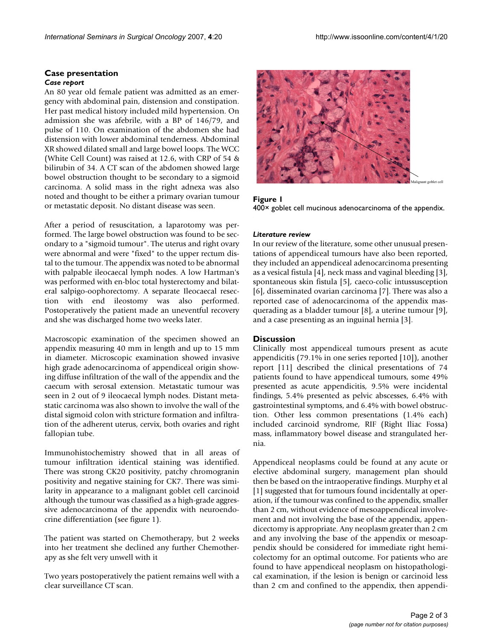### **Case presentation**

*Case report*

An 80 year old female patient was admitted as an emergency with abdominal pain, distension and constipation. Her past medical history included mild hypertension. On admission she was afebrile, with a BP of 146/79, and pulse of 110. On examination of the abdomen she had distension with lower abdominal tenderness. Abdominal XR showed dilated small and large bowel loops. The WCC (White Cell Count) was raised at 12.6, with CRP of 54 & bilirubin of 34. A CT scan of the abdomen showed large bowel obstruction thought to be secondary to a sigmoid carcinoma. A solid mass in the right adnexa was also noted and thought to be either a primary ovarian tumour or metastatic deposit. No distant disease was seen.

After a period of resuscitation, a laparotomy was performed. The large bowel obstruction was found to be secondary to a "sigmoid tumour". The uterus and right ovary were abnormal and were "fixed" to the upper rectum distal to the tumour. The appendix was noted to be abnormal with palpable ileocaecal lymph nodes. A low Hartman's was performed with en-bloc total hysterectomy and bilateral salpigo-oophorectomy. A separate Ileocaecal resection with end ileostomy was also performed. Postoperatively the patient made an uneventful recovery and she was discharged home two weeks later.

Macroscopic examination of the specimen showed an appendix measuring 40 mm in length and up to 15 mm in diameter. Microscopic examination showed invasive high grade adenocarcinoma of appendiceal origin showing diffuse infiltration of the wall of the appendix and the caecum with serosal extension. Metastatic tumour was seen in 2 out of 9 ileocaecal lymph nodes. Distant metastatic carcinoma was also shown to involve the wall of the distal sigmoid colon with stricture formation and infiltration of the adherent uterus, cervix, both ovaries and right fallopian tube.

Immunohistochemistry showed that in all areas of tumour infiltration identical staining was identified. There was strong CK20 positivity, patchy chromogranin positivity and negative staining for CK7. There was similarity in appearance to a malignant goblet cell carcinoid although the tumour was classified as a high-grade aggressive adenocarcinoma of the appendix with neuroendocrine differentiation (see figure 1).

The patient was started on Chemotherapy, but 2 weeks into her treatment she declined any further Chemotherapy as she felt very unwell with it

Two years postoperatively the patient remains well with a clear surveillance CT scan.



Figure 1 400× goblet cell mucinous adenocarcinoma of the appendix.

#### *Literature review*

In our review of the literature, some other unusual presentations of appendiceal tumours have also been reported, they included an appendiceal adenocarcinoma presenting as a vesical fistula [4], neck mass and vaginal bleeding [3], spontaneous skin fistula [5], caeco-colic intussusception [6], disseminated ovarian carcinoma [7]. There was also a reported case of adenocarcinoma of the appendix masquerading as a bladder tumour [8], a uterine tumour [9], and a case presenting as an inguinal hernia [3].

#### **Discussion**

Clinically most appendiceal tumours present as acute appendicitis (79.1% in one series reported [10]), another report [11] described the clinical presentations of 74 patients found to have appendiceal tumours, some 49% presented as acute appendicitis, 9.5% were incidental findings, 5.4% presented as pelvic abscesses, 6.4% with gastrointestinal symptoms, and 6.4% with bowel obstruction. Other less common presentations (1.4% each) included carcinoid syndrome, RIF (Right Iliac Fossa) mass, inflammatory bowel disease and strangulated hernia.

Appendiceal neoplasms could be found at any acute or elective abdominal surgery, management plan should then be based on the intraoperative findings. Murphy et al [1] suggested that for tumours found incidentally at operation, if the tumour was confined to the appendix, smaller than 2 cm, without evidence of mesoappendiceal involvement and not involving the base of the appendix, appendicectomy is appropriate. Any neoplasm greater than 2 cm and any involving the base of the appendix or mesoappendix should be considered for immediate right hemicolectomy for an optimal outcome. For patients who are found to have appendiceal neoplasm on histopathological examination, if the lesion is benign or carcinoid less than 2 cm and confined to the appendix, then appendi